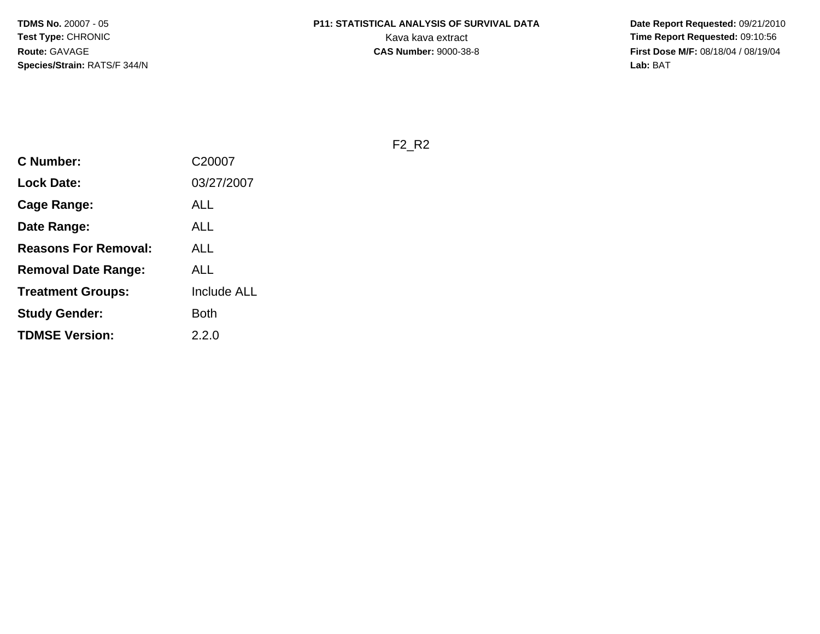**Date Report Requested:** 09/21/2010 **First Dose M/F:** 08/18/04 / 08/19/04<br>Lab: BAT **Lab:** BAT

F2\_R2

| <b>C Number:</b>            | C20007             |
|-----------------------------|--------------------|
| <b>Lock Date:</b>           | 03/27/2007         |
| <b>Cage Range:</b>          | ALL                |
| Date Range:                 | ALL                |
| <b>Reasons For Removal:</b> | ALL                |
| Removal Date Range:         | <b>ALL</b>         |
| <b>Treatment Groups:</b>    | <b>Include ALL</b> |
| <b>Study Gender:</b>        | <b>Both</b>        |
| <b>TDMSE Version:</b>       | 2.2.0              |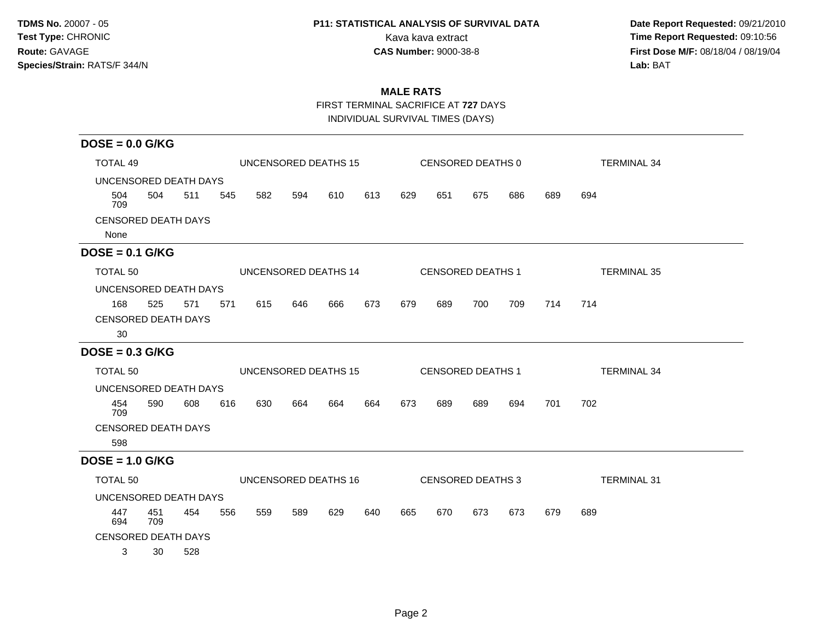# **P11: STATISTICAL ANALYSIS OF SURVIVAL DATA**

 **Date Report Requested:** 09/21/2010 Kava kava extract **Time Report Requested:** 09:10:56 **First Dose M/F:** 08/18/04 / 08/19/04<br>Lab: BAT **Lab:** BAT

### **MALE RATS**

FIRST TERMINAL SACRIFICE AT **727** DAYS

INDIVIDUAL SURVIVAL TIMES (DAYS)

| $DOSE = 0.0$ G/KG          |            |     |     |     |     |                             |     |     |     |                          |     |     |                    |
|----------------------------|------------|-----|-----|-----|-----|-----------------------------|-----|-----|-----|--------------------------|-----|-----|--------------------|
| <b>TOTAL 49</b>            |            |     |     |     |     | UNCENSORED DEATHS 15        |     |     |     | CENSORED DEATHS 0        |     |     | <b>TERMINAL 34</b> |
| UNCENSORED DEATH DAYS      |            |     |     |     |     |                             |     |     |     |                          |     |     |                    |
| 504<br>709                 | 504        | 511 | 545 | 582 | 594 | 610                         | 613 | 629 | 651 | 675                      | 686 | 689 | 694                |
| <b>CENSORED DEATH DAYS</b> |            |     |     |     |     |                             |     |     |     |                          |     |     |                    |
| None                       |            |     |     |     |     |                             |     |     |     |                          |     |     |                    |
| $DOSE = 0.1$ G/KG          |            |     |     |     |     |                             |     |     |     |                          |     |     |                    |
| TOTAL 50                   |            |     |     |     |     | UNCENSORED DEATHS 14        |     |     |     | <b>CENSORED DEATHS 1</b> |     |     | <b>TERMINAL 35</b> |
| UNCENSORED DEATH DAYS      |            |     |     |     |     |                             |     |     |     |                          |     |     |                    |
| 168                        | 525        | 571 | 571 | 615 | 646 | 666                         | 673 | 679 | 689 | 700                      | 709 | 714 | 714                |
| <b>CENSORED DEATH DAYS</b> |            |     |     |     |     |                             |     |     |     |                          |     |     |                    |
| 30                         |            |     |     |     |     |                             |     |     |     |                          |     |     |                    |
| $DOSE = 0.3$ G/KG          |            |     |     |     |     |                             |     |     |     |                          |     |     |                    |
| TOTAL 50                   |            |     |     |     |     | UNCENSORED DEATHS 15        |     |     |     | <b>CENSORED DEATHS 1</b> |     |     | <b>TERMINAL 34</b> |
| UNCENSORED DEATH DAYS      |            |     |     |     |     |                             |     |     |     |                          |     |     |                    |
| 454<br>709                 | 590        | 608 | 616 | 630 | 664 | 664                         | 664 | 673 | 689 | 689                      | 694 | 701 | 702                |
| <b>CENSORED DEATH DAYS</b> |            |     |     |     |     |                             |     |     |     |                          |     |     |                    |
| 598                        |            |     |     |     |     |                             |     |     |     |                          |     |     |                    |
| $DOSE = 1.0$ G/KG          |            |     |     |     |     |                             |     |     |     |                          |     |     |                    |
| TOTAL 50                   |            |     |     |     |     | <b>UNCENSORED DEATHS 16</b> |     |     |     | <b>CENSORED DEATHS 3</b> |     |     | <b>TERMINAL 31</b> |
| UNCENSORED DEATH DAYS      |            |     |     |     |     |                             |     |     |     |                          |     |     |                    |
| 447<br>694                 | 451<br>709 | 454 | 556 | 559 | 589 | 629                         | 640 | 665 | 670 | 673                      | 673 | 679 | 689                |
| <b>CENSORED DEATH DAYS</b> |            |     |     |     |     |                             |     |     |     |                          |     |     |                    |
| 3                          | 30         | 528 |     |     |     |                             |     |     |     |                          |     |     |                    |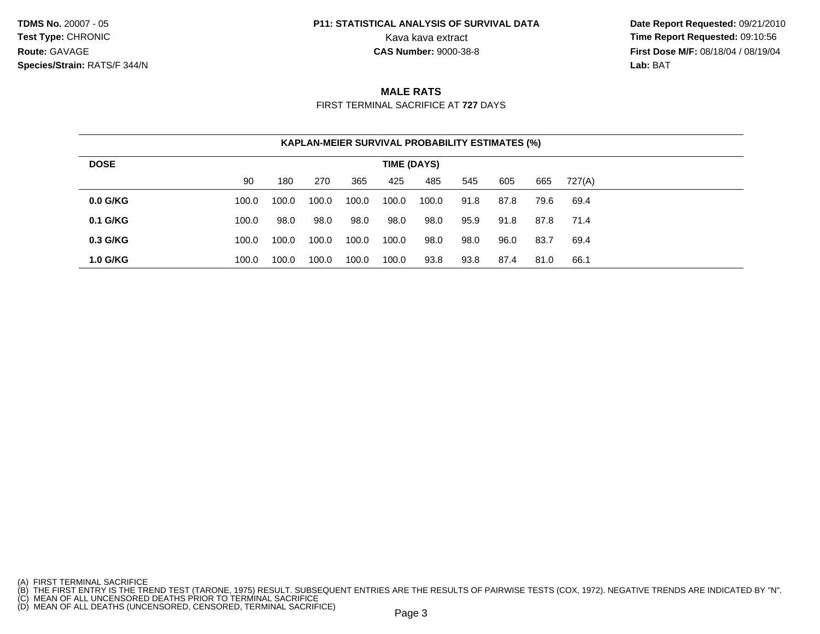# **P11: STATISTICAL ANALYSIS OF SURVIVAL DATA**

 **Date Report Requested:** 09/21/2010 Kava kava extract **Time Report Requested: 09:10:56**<br>**CAS Number: 9000-38-8 Time Report Requested: 09:10:56 First Dose M/F:** 08/18/04 / 08/19/04 Lab: BAT **Lab:** BAT

### **MALE RATS**

FIRST TERMINAL SACRIFICE AT **727** DAYS

|                 |       | <b>KAPLAN-MEIER SURVIVAL PROBABILITY ESTIMATES (%)</b> |       |       |             |       |      |      |      |        |  |
|-----------------|-------|--------------------------------------------------------|-------|-------|-------------|-------|------|------|------|--------|--|
| <b>DOSE</b>     |       |                                                        |       |       | TIME (DAYS) |       |      |      |      |        |  |
|                 | 90    | 180                                                    | 270   | 365   | 425         | 485   | 545  | 605  | 665  | 727(A) |  |
| $0.0$ G/KG      | 100.0 | 100.0                                                  | 100.0 | 100.0 | 100.0       | 100.0 | 91.8 | 87.8 | 79.6 | 69.4   |  |
| $0.1$ G/KG      | 100.0 | 98.0                                                   | 98.0  | 98.0  | 98.0        | 98.0  | 95.9 | 91.8 | 87.8 | 71.4   |  |
| $0.3$ G/KG      | 100.0 | 100.0                                                  | 100.0 | 100.0 | 100.0       | 98.0  | 98.0 | 96.0 | 83.7 | 69.4   |  |
| <b>1.0 G/KG</b> | 100.0 | 100.0                                                  | 100.0 | 100.0 | 100.0       | 93.8  | 93.8 | 87.4 | 81.0 | 66.1   |  |

<sup>(</sup>A) FIRST TERMINAL SACRIFICE<br>(B) THE FIRST ENTRY IS THE TREND TEST (TARONE, 1975) RESULT. SUBSEQUENT ENTRIES ARE THE RESULTS OF PAIRWISE TESTS (COX, 1972). NEGATIVE TRENDS ARE INDICATED BY "N".<br>(C) MEAN OF ALL UNCENSORED D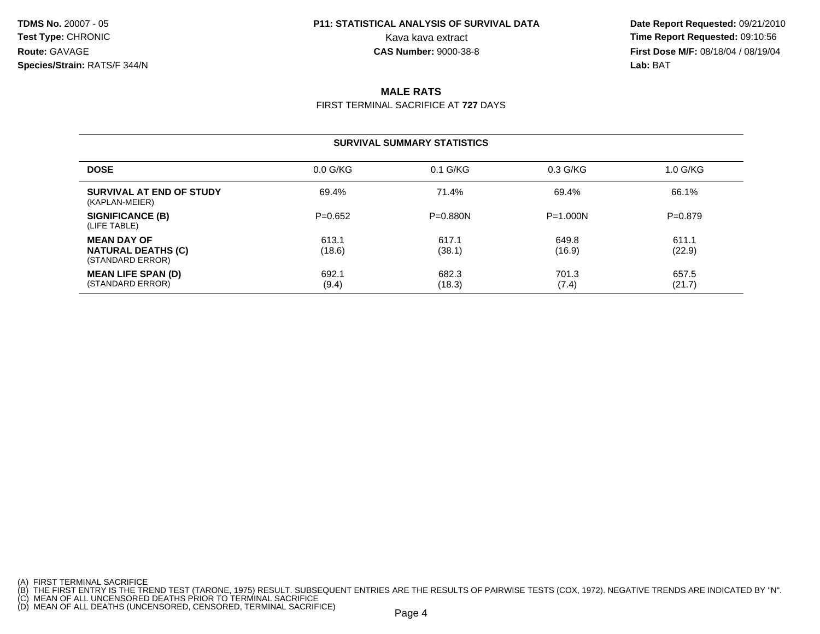# **P11: STATISTICAL ANALYSIS OF SURVIVAL DATA**

 **Date Report Requested:** 09/21/2010 Kava kava extract **Time Report Requested: 09:10:56**<br>**CAS Number: 9000-38-8 Time Report Requested: 09:10:56 First Dose M/F:** 08/18/04 / 08/19/04 Lab: BAT **Lab:** BAT

### **MALE RATS**

FIRST TERMINAL SACRIFICE AT **727** DAYS

### **SURVIVAL SUMMARY STATISTICS**

| <b>DOSE</b>                                                         | $0.0$ G/KG      | $0.1$ G/KG      | $0.3$ G/KG      | 1.0 G/KG        |
|---------------------------------------------------------------------|-----------------|-----------------|-----------------|-----------------|
| SURVIVAL AT END OF STUDY<br>(KAPLAN-MEIER)                          | 69.4%           | 71.4%           | 69.4%           | 66.1%           |
| SIGNIFICANCE (B)<br>(LIFE TABLE)                                    | $P=0.652$       | $P = 0.880N$    | $P = 1.000N$    | $P=0.879$       |
| <b>MEAN DAY OF</b><br><b>NATURAL DEATHS (C)</b><br>(STANDARD ERROR) | 613.1<br>(18.6) | 617.1<br>(38.1) | 649.8<br>(16.9) | 611.1<br>(22.9) |
| <b>MEAN LIFE SPAN (D)</b><br>(STANDARD ERROR)                       | 692.1<br>(9.4)  | 682.3<br>(18.3) | 701.3<br>(7.4)  | 657.5<br>(21.7) |

<sup>(</sup>A) FIRST TERMINAL SACRIFICE<br>(B) THE FIRST ENTRY IS THE TREND TEST (TARONE, 1975) RESULT. SUBSEQUENT ENTRIES ARE THE RESULTS OF PAIRWISE TESTS (COX, 1972). NEGATIVE TRENDS ARE INDICATED BY "N".<br>(C) MEAN OF ALL UNCENSORED D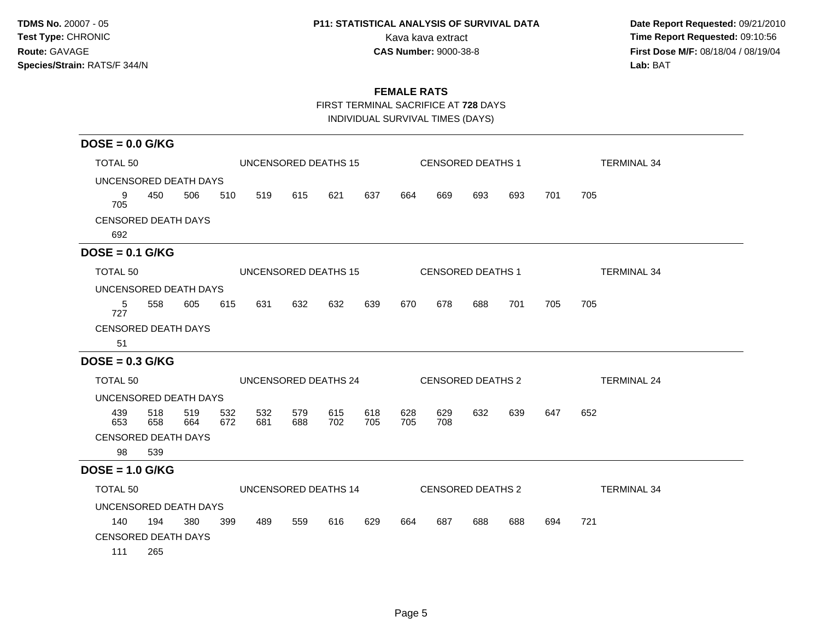# **P11: STATISTICAL ANALYSIS OF SURVIVAL DATA**

 **Date Report Requested:** 09/21/2010 Kava kava extract **Time Report Requested:** 09:10:56 **First Dose M/F:** 08/18/04 / 08/19/04<br>Lab: BAT **Lab:** BAT

### **FEMALE RATS**

FIRST TERMINAL SACRIFICE AT **728** DAYS

INDIVIDUAL SURVIVAL TIMES (DAYS)

| $DOSE = 0.0$ G/KG          |            |            |            |            |            |                      |            |            |            |                          |     |     |                    |
|----------------------------|------------|------------|------------|------------|------------|----------------------|------------|------------|------------|--------------------------|-----|-----|--------------------|
| TOTAL <sub>50</sub>        |            |            |            |            |            | UNCENSORED DEATHS 15 |            |            |            | <b>CENSORED DEATHS 1</b> |     |     | <b>TERMINAL 34</b> |
| UNCENSORED DEATH DAYS      |            |            |            |            |            |                      |            |            |            |                          |     |     |                    |
| 9<br>705                   | 450        | 506        | 510        | 519        | 615        | 621                  | 637        | 664        | 669        | 693                      | 693 | 701 | 705                |
| <b>CENSORED DEATH DAYS</b> |            |            |            |            |            |                      |            |            |            |                          |     |     |                    |
| 692                        |            |            |            |            |            |                      |            |            |            |                          |     |     |                    |
| $DOSE = 0.1$ G/KG          |            |            |            |            |            |                      |            |            |            |                          |     |     |                    |
| TOTAL <sub>50</sub>        |            |            |            |            |            | UNCENSORED DEATHS 15 |            |            |            | <b>CENSORED DEATHS 1</b> |     |     | <b>TERMINAL 34</b> |
| UNCENSORED DEATH DAYS      |            |            |            |            |            |                      |            |            |            |                          |     |     |                    |
| 5<br>727                   | 558        | 605        | 615        | 631        | 632        | 632                  | 639        | 670        | 678        | 688                      | 701 | 705 | 705                |
| <b>CENSORED DEATH DAYS</b> |            |            |            |            |            |                      |            |            |            |                          |     |     |                    |
| 51                         |            |            |            |            |            |                      |            |            |            |                          |     |     |                    |
| $DOSE = 0.3$ G/KG          |            |            |            |            |            |                      |            |            |            |                          |     |     |                    |
| TOTAL <sub>50</sub>        |            |            |            |            |            | UNCENSORED DEATHS 24 |            |            |            | CENSORED DEATHS 2        |     |     | <b>TERMINAL 24</b> |
| UNCENSORED DEATH DAYS      |            |            |            |            |            |                      |            |            |            |                          |     |     |                    |
| 439<br>653                 | 518<br>658 | 519<br>664 | 532<br>672 | 532<br>681 | 579<br>688 | 615<br>702           | 618<br>705 | 628<br>705 | 629<br>708 | 632                      | 639 | 647 | 652                |
| <b>CENSORED DEATH DAYS</b> |            |            |            |            |            |                      |            |            |            |                          |     |     |                    |
| 98                         | 539        |            |            |            |            |                      |            |            |            |                          |     |     |                    |
| $DOSE = 1.0$ G/KG          |            |            |            |            |            |                      |            |            |            |                          |     |     |                    |
| TOTAL 50                   |            |            |            |            |            | UNCENSORED DEATHS 14 |            |            |            | CENSORED DEATHS 2        |     |     | <b>TERMINAL 34</b> |
|                            |            |            |            |            |            |                      |            |            |            |                          |     |     |                    |
| UNCENSORED DEATH DAYS      |            |            |            |            |            |                      |            |            |            |                          |     |     |                    |
| 140                        | 194        | 380        | 399        | 489        | 559        | 616                  | 629        | 664        | 687        | 688                      | 688 | 694 | 721                |
| <b>CENSORED DEATH DAYS</b> |            |            |            |            |            |                      |            |            |            |                          |     |     |                    |
| 111                        | 265        |            |            |            |            |                      |            |            |            |                          |     |     |                    |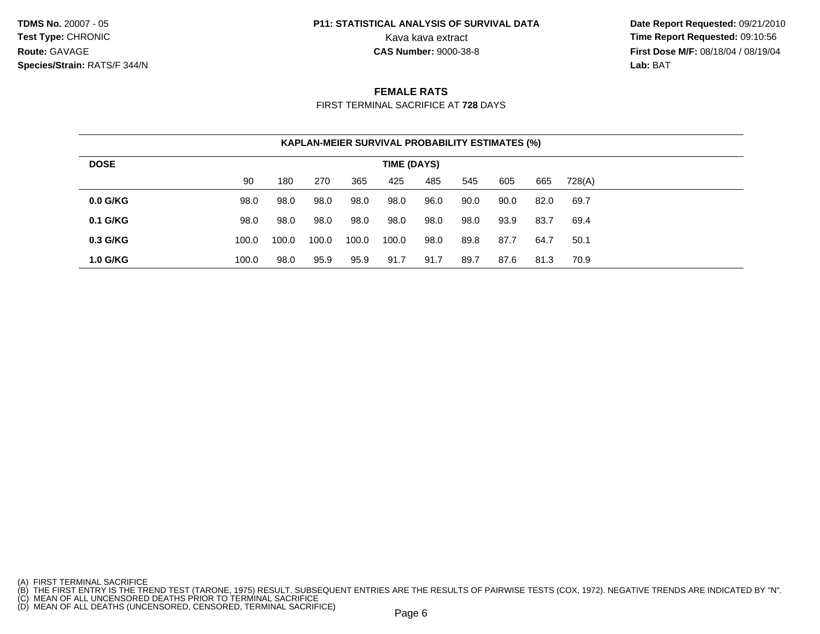# **P11: STATISTICAL ANALYSIS OF SURVIVAL DATA**

 **Date Report Requested:** 09/21/2010 Kava kava extract **Time Report Requested: 09:10:56**<br>**CAS Number: 9000-38-8 Time Report Requested: 09:10:56 First Dose M/F:** 08/18/04 / 08/19/04 Lab: BAT **Lab:** BAT

### **FEMALE RATS**

FIRST TERMINAL SACRIFICE AT **728** DAYS

|                 |       | KAPLAN-MEIER SURVIVAL PROBABILITY ESTIMATES (%) |       |       |             |      |      |      |      |        |  |
|-----------------|-------|-------------------------------------------------|-------|-------|-------------|------|------|------|------|--------|--|
| <b>DOSE</b>     |       |                                                 |       |       | TIME (DAYS) |      |      |      |      |        |  |
|                 | 90    | 180                                             | 270   | 365   | 425         | 485  | 545  | 605  | 665  | 728(A) |  |
| $0.0$ G/KG      | 98.0  | 98.0                                            | 98.0  | 98.0  | 98.0        | 96.0 | 90.0 | 90.0 | 82.0 | 69.7   |  |
| $0.1$ G/KG      | 98.0  | 98.0                                            | 98.0  | 98.0  | 98.0        | 98.0 | 98.0 | 93.9 | 83.7 | 69.4   |  |
| 0.3 G/KG        | 100.0 | 100.0                                           | 100.0 | 100.0 | 100.0       | 98.0 | 89.8 | 87.7 | 64.7 | 50.1   |  |
| <b>1.0 G/KG</b> | 100.0 | 98.0                                            | 95.9  | 95.9  | 91.7        | 91.7 | 89.7 | 87.6 | 81.3 | 70.9   |  |

- 
- 

<sup>(</sup>A) FIRST TERMINAL SACRIFICE<br>(B) THE FIRST ENTRY IS THE TREND TEST (TARONE, 1975) RESULT. SUBSEQUENT ENTRIES ARE THE RESULTS OF PAIRWISE TESTS (COX, 1972). NEGATIVE TRENDS ARE INDICATED BY "N".<br>(C) MEAN OF ALL UNCENSORED D